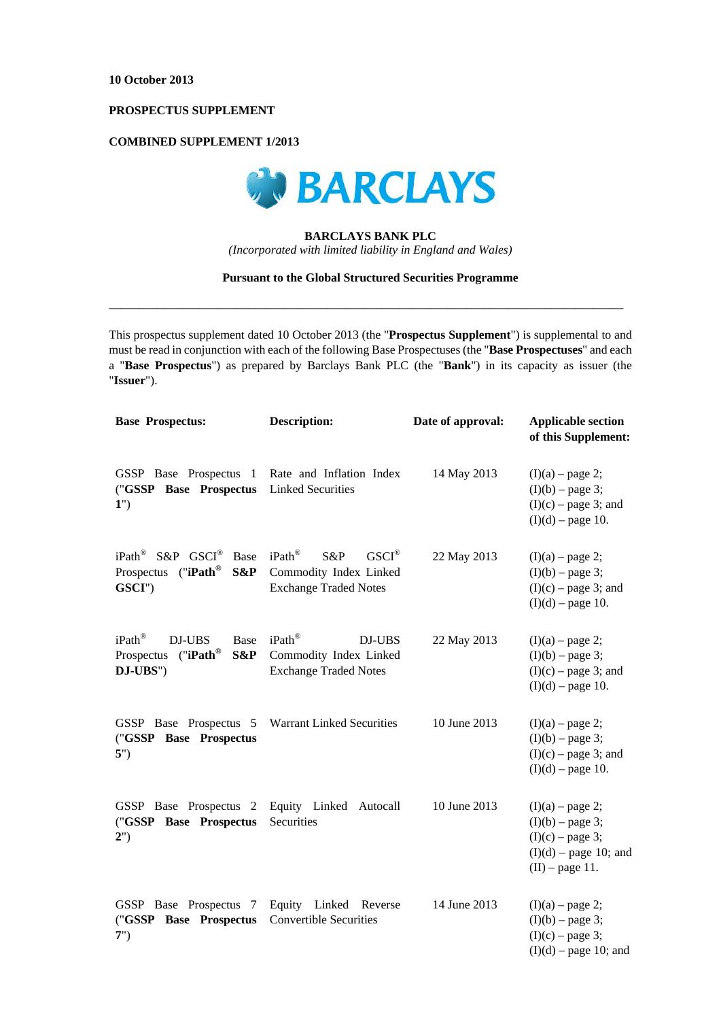# **PROSPECTUS SUPPLEMENT**

# **COMBINED SUPPLEMENT 1/2013**



# **BARCLAYS BANK PLC**

*(Incorporated with limited liability in England and Wales)* 

### **Pursuant to the Global Structured Securities Programme**

 $\_$  , and the set of the set of the set of the set of the set of the set of the set of the set of the set of the set of the set of the set of the set of the set of the set of the set of the set of the set of the set of th

This prospectus supplement dated 10 October 2013 (the "**Prospectus Supplement**") is supplemental to and must be read in conjunction with each of the following Base Prospectuses (the "**Base Prospectuses**" and each a "**Base Prospectus**") as prepared by Barclays Bank PLC (the "**Bank**") in its capacity as issuer (the "**Issuer**").

| <b>Base Prospectus:</b>                                                                         | <b>Description:</b>                                                                           | Date of approval: | <b>Applicable section</b><br>of this Supplement:                                                               |
|-------------------------------------------------------------------------------------------------|-----------------------------------------------------------------------------------------------|-------------------|----------------------------------------------------------------------------------------------------------------|
| GSSP Base Prospectus 1<br>("GSSP Base Prospectus<br>1")                                         | Rate and Inflation Index<br><b>Linked Securities</b>                                          | 14 May 2013       | $(I)(a)$ – page 2;<br>$(I)(b)$ – page 3;<br>$(I)(c)$ – page 3; and<br>$(I)(d)$ – page 10.                      |
| iPath <sup>®</sup> S&P GSCI <sup>®</sup> Base<br>Prospectus ("iPath®<br>S&P<br>GSCI")           | iPath®<br>$GSCI^{\circledR}$<br>S&P<br>Commodity Index Linked<br><b>Exchange Traded Notes</b> | 22 May 2013       | $(I)(a)$ – page 2;<br>$(I)(b)$ – page 3;<br>$(I)(c)$ – page 3; and<br>$(I)(d)$ – page 10.                      |
| iPath <sup>®</sup><br>DJ-UBS<br>Base<br>("iPath $^{\circledR}$<br>S&P<br>Prospectus<br>DJ-UBS") | iPath®<br>DJ-UBS<br>Commodity Index Linked<br><b>Exchange Traded Notes</b>                    | 22 May 2013       | $(I)(a)$ – page 2;<br>$(I)(b)$ – page 3;<br>$(I)(c)$ – page 3; and<br>$(I)(d)$ – page 10.                      |
| GSSP Base Prospectus 5<br>("GSSP Base Prospectus<br>5")                                         | <b>Warrant Linked Securities</b>                                                              | 10 June 2013      | $(I)(a)$ – page 2;<br>$(I)(b)$ – page 3;<br>$(I)(c)$ – page 3; and<br>$(I)(d)$ – page 10.                      |
| GSSP Base Prospectus 2<br>("GSSP Base Prospectus<br>2")                                         | Equity Linked Autocall<br>Securities                                                          | 10 June 2013      | $(I)(a)$ – page 2;<br>$(I)(b)$ – page 3;<br>$(I)(c)$ – page 3;<br>$(I)(d)$ – page 10; and<br>$(II)$ – page 11. |
| GSSP Base Prospectus 7<br>("GSSP Base Prospectus<br>7")                                         | Equity Linked Reverse<br><b>Convertible Securities</b>                                        | 14 June 2013      | $(I)(a)$ – page 2;<br>$(I)(b)$ – page 3;<br>$(I)(c)$ – page 3;<br>$(I)(d)$ – page 10; and                      |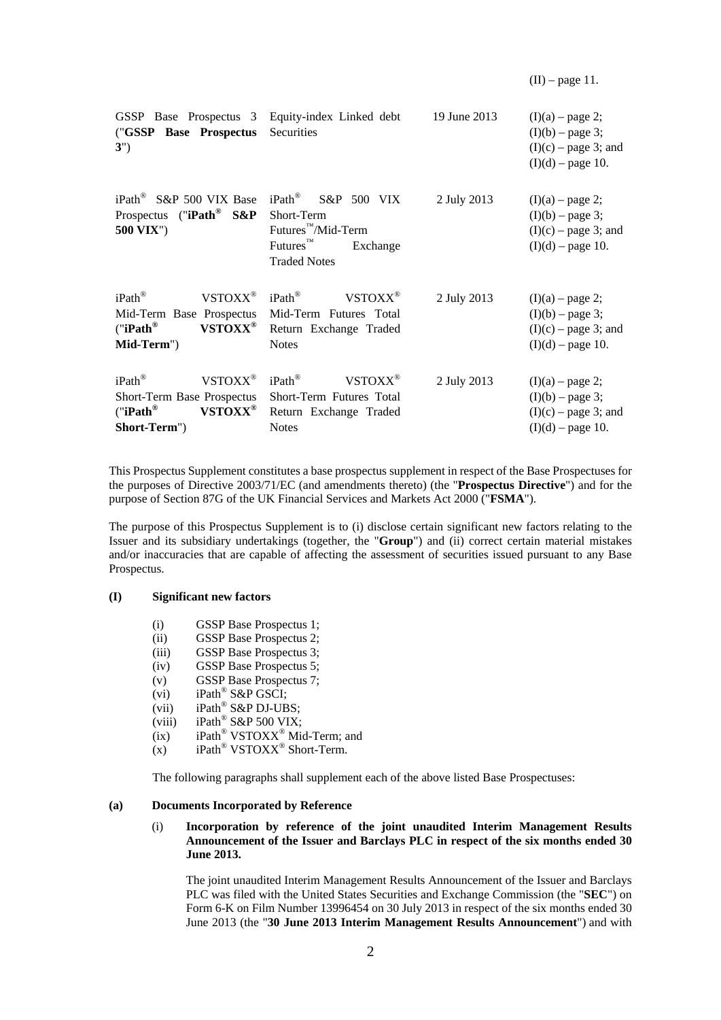$(II)$  – page 11.

| GSSP Base Prospectus 3 Equity-index Linked debt<br>("GSSP Base Prospectus<br>3")                                                                  | Securities                                                                                                                      | 19 June 2013 | $(I)(a)$ – page 2;<br>$(I)(b)$ – page 3;<br>$(I)(c)$ – page 3; and<br>$(I)(d)$ – page 10. |
|---------------------------------------------------------------------------------------------------------------------------------------------------|---------------------------------------------------------------------------------------------------------------------------------|--------------|-------------------------------------------------------------------------------------------|
| iPath <sup>®</sup> S&P 500 VIX Base<br>Prospectus ("iPath® S&P<br><b>500 VIX")</b>                                                                | iPath® S&P 500 VIX<br>Short-Term<br>Futures <sup>™</sup> /Mid-Term<br>$Futures^{\mathbb{N}}$<br>Exchange<br><b>Traded Notes</b> | 2 July 2013  | $(I)(a)$ – page 2;<br>$(I)(b)$ – page 3;<br>$(I)(c)$ – page 3; and<br>$(I)(d)$ – page 10. |
| $iPath^{\circledR}$<br>$VSTOXX^{\circledR}$<br>Mid-Term Base Prospectus<br>("iPath $^{\circ}$<br>VSTOXX <sup>®</sup><br>Mid-Term")                | $iPath^{\circledR}$<br>VSTOXX <sup>®</sup><br>Mid-Term Futures Total<br>Return Exchange Traded<br><b>Notes</b>                  | 2 July 2013  | $(I)(a)$ – page 2;<br>$(I)(b)$ – page 3;<br>$(I)(c)$ – page 3; and<br>$(I)(d)$ – page 10. |
| iPath®<br>VSTOXX <sup>®</sup><br>Short-Term Base Prospectus<br>("iPath $^{\circledR}$<br>$\mathbf{VSTOX}\mathbf{X}^{\circledast}$<br>Short-Term") | $iPath^{\circledR}$<br>VSTOXX <sup>®</sup><br>Short-Term Futures Total<br>Return Exchange Traded<br><b>Notes</b>                | 2 July 2013  | $(I)(a)$ – page 2;<br>$(I)(b)$ – page 3;<br>$(I)(c)$ – page 3; and<br>$(I)(d)$ – page 10. |

This Prospectus Supplement constitutes a base prospectus supplement in respect of the Base Prospectuses for the purposes of Directive 2003/71/EC (and amendments thereto) (the "**Prospectus Directive**") and for the purpose of Section 87G of the UK Financial Services and Markets Act 2000 ("**FSMA**").

The purpose of this Prospectus Supplement is to (i) disclose certain significant new factors relating to the Issuer and its subsidiary undertakings (together, the "**Group**") and (ii) correct certain material mistakes and/or inaccuracies that are capable of affecting the assessment of securities issued pursuant to any Base Prospectus.

#### **(I) Significant new factors**

- (i) GSSP Base Prospectus 1;
- (ii) GSSP Base Prospectus 2;
- (iii) GSSP Base Prospectus 3;
- (iv) GSSP Base Prospectus 5;
- (v) GSSP Base Prospectus 7;
- (vi)  $iPath^{\circledR}$  S&P GSCI;
- (vii)  $iPath^{\circledR}$  S&P DJ-UBS;
- (viii) iPath<sup>®</sup> S&P 500 VIX;
- (ix) iPath<sup>®</sup> VSTOXX<sup>®</sup> Mid-Term; and
- (x) iPath<sup>®</sup> VSTOXX<sup>®</sup> Short-Term.

The following paragraphs shall supplement each of the above listed Base Prospectuses:

#### **(a) Documents Incorporated by Reference**

### (i) **Incorporation by reference of the joint unaudited Interim Management Results Announcement of the Issuer and Barclays PLC in respect of the six months ended 30 June 2013.**

The joint unaudited Interim Management Results Announcement of the Issuer and Barclays PLC was filed with the United States Securities and Exchange Commission (the "**SEC**") on Form 6-K on Film Number 13996454 on 30 July 2013 in respect of the six months ended 30 June 2013 (the "**30 June 2013 Interim Management Results Announcement**") and with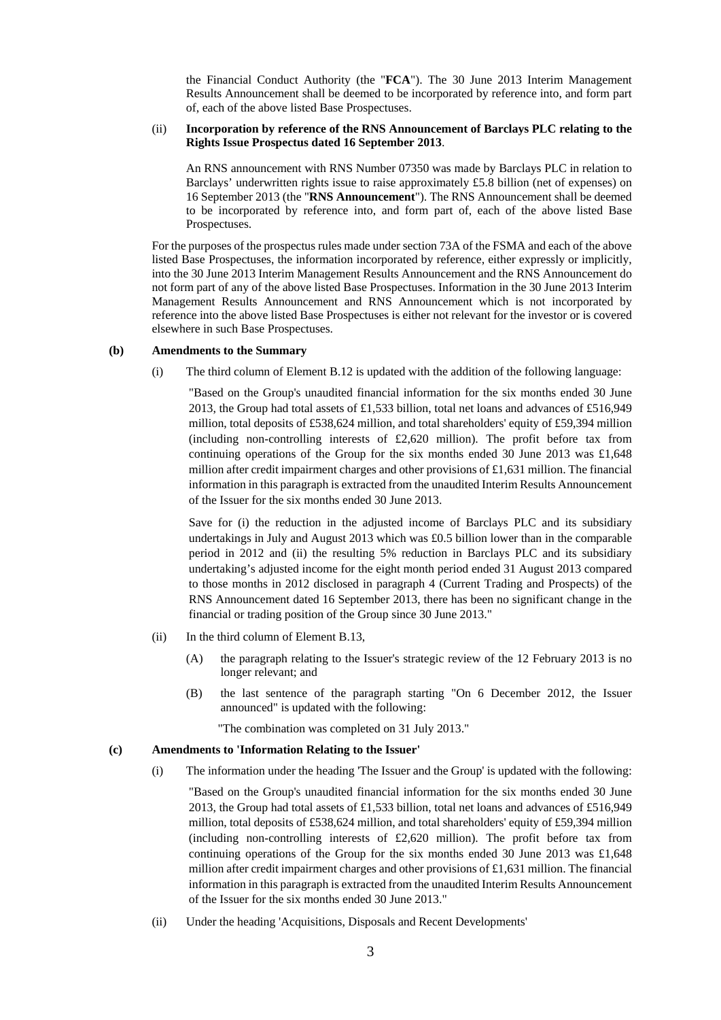the Financial Conduct Authority (the "**FCA**"). The 30 June 2013 Interim Management Results Announcement shall be deemed to be incorporated by reference into, and form part of, each of the above listed Base Prospectuses.

#### (ii) **Incorporation by reference of the RNS Announcement of Barclays PLC relating to the Rights Issue Prospectus dated 16 September 2013**.

An RNS announcement with RNS Number 07350 was made by Barclays PLC in relation to Barclays' underwritten rights issue to raise approximately £5.8 billion (net of expenses) on 16 September 2013 (the "**RNS Announcement**"). The RNS Announcement shall be deemed to be incorporated by reference into, and form part of, each of the above listed Base Prospectuses.

For the purposes of the prospectus rules made under section 73A of the FSMA and each of the above listed Base Prospectuses, the information incorporated by reference, either expressly or implicitly, into the 30 June 2013 Interim Management Results Announcement and the RNS Announcement do not form part of any of the above listed Base Prospectuses. Information in the 30 June 2013 Interim Management Results Announcement and RNS Announcement which is not incorporated by reference into the above listed Base Prospectuses is either not relevant for the investor or is covered elsewhere in such Base Prospectuses.

### **(b) Amendments to the Summary**

(i) The third column of Element B.12 is updated with the addition of the following language:

"Based on the Group's unaudited financial information for the six months ended 30 June 2013, the Group had total assets of £1,533 billion, total net loans and advances of £516,949 million, total deposits of £538,624 million, and total shareholders' equity of £59,394 million (including non-controlling interests of  $£2,620$  million). The profit before tax from continuing operations of the Group for the six months ended 30 June 2013 was £1,648 million after credit impairment charges and other provisions of £1,631 million. The financial information in this paragraph is extracted from the unaudited Interim Results Announcement of the Issuer for the six months ended 30 June 2013.

Save for (i) the reduction in the adjusted income of Barclays PLC and its subsidiary undertakings in July and August 2013 which was £0.5 billion lower than in the comparable period in 2012 and (ii) the resulting 5% reduction in Barclays PLC and its subsidiary undertaking's adjusted income for the eight month period ended 31 August 2013 compared to those months in 2012 disclosed in paragraph 4 (Current Trading and Prospects) of the RNS Announcement dated 16 September 2013, there has been no significant change in the financial or trading position of the Group since 30 June 2013."

- (ii) In the third column of Element B.13,
	- (A) the paragraph relating to the Issuer's strategic review of the 12 February 2013 is no longer relevant; and
	- (B) the last sentence of the paragraph starting "On 6 December 2012, the Issuer announced" is updated with the following:

"The combination was completed on 31 July 2013."

#### **(c) Amendments to 'Information Relating to the Issuer'**

(i) The information under the heading 'The Issuer and the Group' is updated with the following:

"Based on the Group's unaudited financial information for the six months ended 30 June 2013, the Group had total assets of £1,533 billion, total net loans and advances of £516,949 million, total deposits of £538,624 million, and total shareholders' equity of £59,394 million (including non-controlling interests of  $£2,620$  million). The profit before tax from continuing operations of the Group for the six months ended 30 June 2013 was £1,648 million after credit impairment charges and other provisions of £1,631 million. The financial information in this paragraph is extracted from the unaudited Interim Results Announcement of the Issuer for the six months ended 30 June 2013."

(ii) Under the heading 'Acquisitions, Disposals and Recent Developments'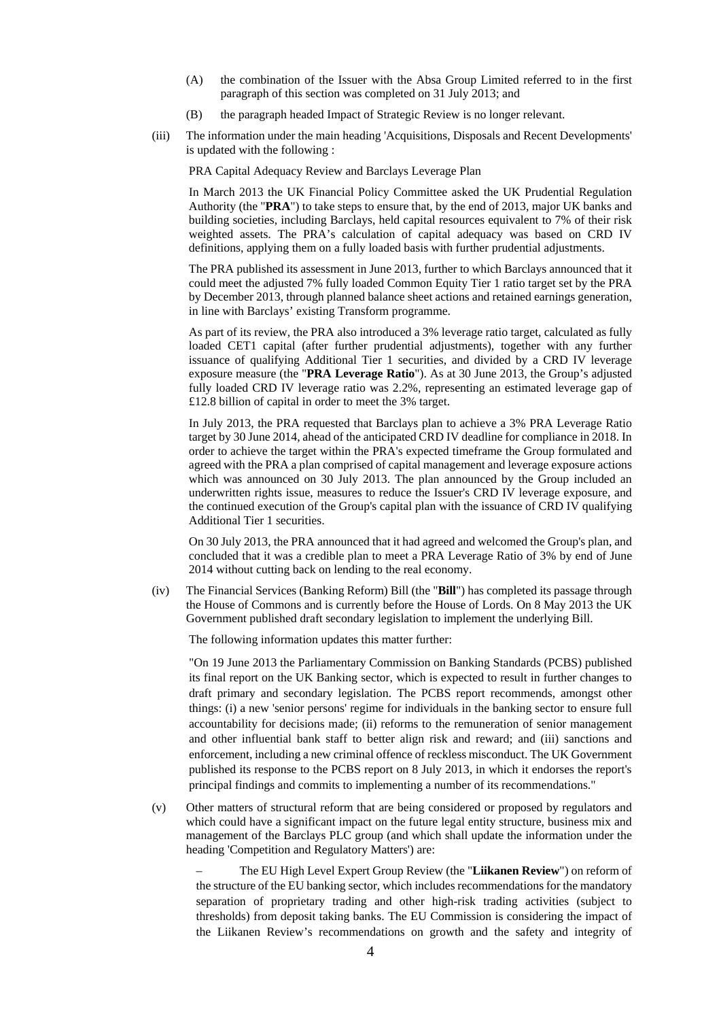- (A) the combination of the Issuer with the Absa Group Limited referred to in the first paragraph of this section was completed on 31 July 2013; and
- (B) the paragraph headed Impact of Strategic Review is no longer relevant.
- (iii) The information under the main heading 'Acquisitions, Disposals and Recent Developments' is updated with the following :

PRA Capital Adequacy Review and Barclays Leverage Plan

In March 2013 the UK Financial Policy Committee asked the UK Prudential Regulation Authority (the "**PRA**") to take steps to ensure that, by the end of 2013, major UK banks and building societies, including Barclays, held capital resources equivalent to 7% of their risk weighted assets. The PRA's calculation of capital adequacy was based on CRD IV definitions, applying them on a fully loaded basis with further prudential adjustments.

The PRA published its assessment in June 2013, further to which Barclays announced that it could meet the adjusted 7% fully loaded Common Equity Tier 1 ratio target set by the PRA by December 2013, through planned balance sheet actions and retained earnings generation, in line with Barclays' existing Transform programme.

As part of its review, the PRA also introduced a 3% leverage ratio target, calculated as fully loaded CET1 capital (after further prudential adjustments), together with any further issuance of qualifying Additional Tier 1 securities, and divided by a CRD IV leverage exposure measure (the "**PRA Leverage Ratio**"). As at 30 June 2013, the Group's adjusted fully loaded CRD IV leverage ratio was 2.2%, representing an estimated leverage gap of £12.8 billion of capital in order to meet the 3% target.

In July 2013, the PRA requested that Barclays plan to achieve a 3% PRA Leverage Ratio target by 30 June 2014, ahead of the anticipated CRD IV deadline for compliance in 2018. In order to achieve the target within the PRA's expected timeframe the Group formulated and agreed with the PRA a plan comprised of capital management and leverage exposure actions which was announced on 30 July 2013. The plan announced by the Group included an underwritten rights issue, measures to reduce the Issuer's CRD IV leverage exposure, and the continued execution of the Group's capital plan with the issuance of CRD IV qualifying Additional Tier 1 securities.

On 30 July 2013, the PRA announced that it had agreed and welcomed the Group's plan, and concluded that it was a credible plan to meet a PRA Leverage Ratio of 3% by end of June 2014 without cutting back on lending to the real economy.

(iv) The Financial Services (Banking Reform) Bill (the "**Bill**") has completed its passage through the House of Commons and is currently before the House of Lords. On 8 May 2013 the UK Government published draft secondary legislation to implement the underlying Bill.

The following information updates this matter further:

"On 19 June 2013 the Parliamentary Commission on Banking Standards (PCBS) published its final report on the UK Banking sector, which is expected to result in further changes to draft primary and secondary legislation. The PCBS report recommends, amongst other things: (i) a new 'senior persons' regime for individuals in the banking sector to ensure full accountability for decisions made; (ii) reforms to the remuneration of senior management and other influential bank staff to better align risk and reward; and (iii) sanctions and enforcement, including a new criminal offence of reckless misconduct. The UK Government published its response to the PCBS report on 8 July 2013, in which it endorses the report's principal findings and commits to implementing a number of its recommendations."

(v) Other matters of structural reform that are being considered or proposed by regulators and which could have a significant impact on the future legal entity structure, business mix and management of the Barclays PLC group (and which shall update the information under the heading 'Competition and Regulatory Matters') are:

– The EU High Level Expert Group Review (the "**Liikanen Review**") on reform of the structure of the EU banking sector, which includes recommendations for the mandatory separation of proprietary trading and other high-risk trading activities (subject to thresholds) from deposit taking banks. The EU Commission is considering the impact of the Liikanen Review's recommendations on growth and the safety and integrity of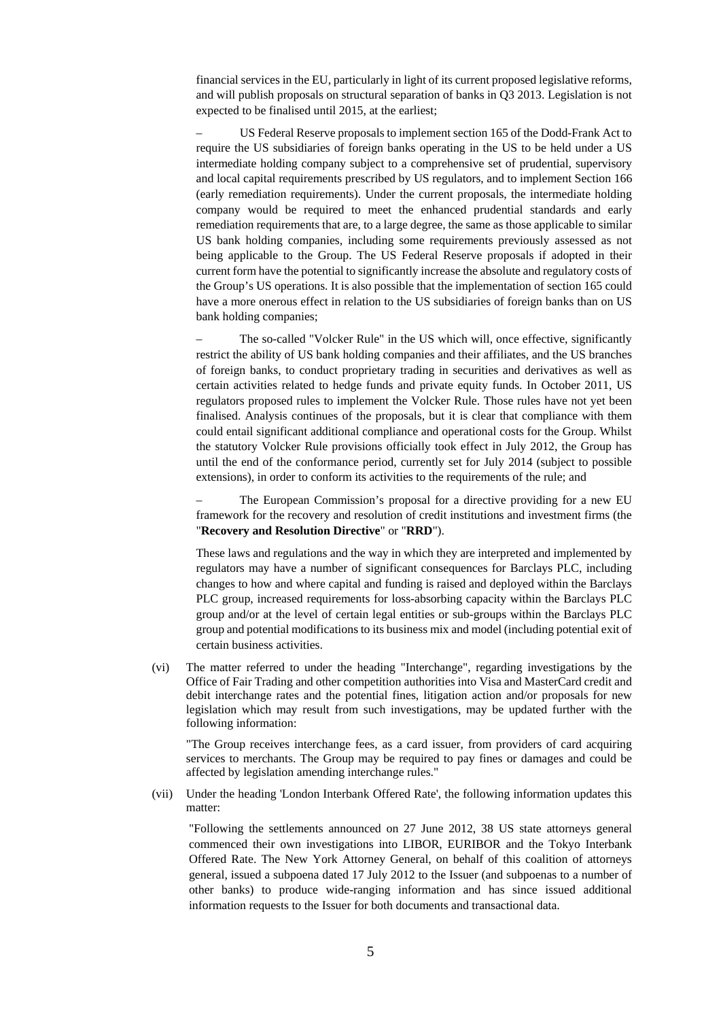financial services in the EU, particularly in light of its current proposed legislative reforms, and will publish proposals on structural separation of banks in Q3 2013. Legislation is not expected to be finalised until 2015, at the earliest;

– US Federal Reserve proposals to implement section 165 of the Dodd-Frank Act to require the US subsidiaries of foreign banks operating in the US to be held under a US intermediate holding company subject to a comprehensive set of prudential, supervisory and local capital requirements prescribed by US regulators, and to implement Section 166 (early remediation requirements). Under the current proposals, the intermediate holding company would be required to meet the enhanced prudential standards and early remediation requirements that are, to a large degree, the same as those applicable to similar US bank holding companies, including some requirements previously assessed as not being applicable to the Group. The US Federal Reserve proposals if adopted in their current form have the potential to significantly increase the absolute and regulatory costs of the Group's US operations. It is also possible that the implementation of section 165 could have a more onerous effect in relation to the US subsidiaries of foreign banks than on US bank holding companies;

– The so-called "Volcker Rule" in the US which will, once effective, significantly restrict the ability of US bank holding companies and their affiliates, and the US branches of foreign banks, to conduct proprietary trading in securities and derivatives as well as certain activities related to hedge funds and private equity funds. In October 2011, US regulators proposed rules to implement the Volcker Rule. Those rules have not yet been finalised. Analysis continues of the proposals, but it is clear that compliance with them could entail significant additional compliance and operational costs for the Group. Whilst the statutory Volcker Rule provisions officially took effect in July 2012, the Group has until the end of the conformance period, currently set for July 2014 (subject to possible extensions), in order to conform its activities to the requirements of the rule; and

– The European Commission's proposal for a directive providing for a new EU framework for the recovery and resolution of credit institutions and investment firms (the "**Recovery and Resolution Directive**" or "**RRD**").

These laws and regulations and the way in which they are interpreted and implemented by regulators may have a number of significant consequences for Barclays PLC, including changes to how and where capital and funding is raised and deployed within the Barclays PLC group, increased requirements for loss-absorbing capacity within the Barclays PLC group and/or at the level of certain legal entities or sub-groups within the Barclays PLC group and potential modifications to its business mix and model (including potential exit of certain business activities.

(vi) The matter referred to under the heading "Interchange", regarding investigations by the Office of Fair Trading and other competition authorities into Visa and MasterCard credit and debit interchange rates and the potential fines, litigation action and/or proposals for new legislation which may result from such investigations, may be updated further with the following information:

"The Group receives interchange fees, as a card issuer, from providers of card acquiring services to merchants. The Group may be required to pay fines or damages and could be affected by legislation amending interchange rules."

(vii) Under the heading 'London Interbank Offered Rate', the following information updates this matter:

"Following the settlements announced on 27 June 2012, 38 US state attorneys general commenced their own investigations into LIBOR, EURIBOR and the Tokyo Interbank Offered Rate. The New York Attorney General, on behalf of this coalition of attorneys general, issued a subpoena dated 17 July 2012 to the Issuer (and subpoenas to a number of other banks) to produce wide-ranging information and has since issued additional information requests to the Issuer for both documents and transactional data.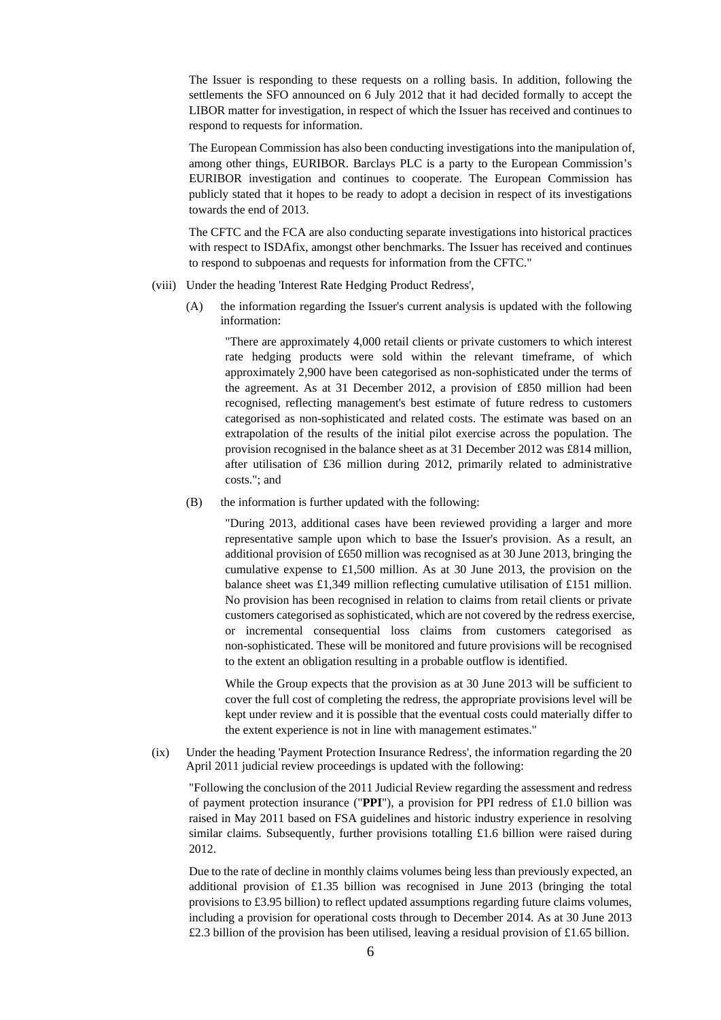The Issuer is responding to these requests on a rolling basis. In addition, following the settlements the SFO announced on 6 July 2012 that it had decided formally to accept the LIBOR matter for investigation, in respect of which the Issuer has received and continues to respond to requests for information.

The European Commission has also been conducting investigations into the manipulation of, among other things, EURIBOR. Barclays PLC is a party to the European Commission's EURIBOR investigation and continues to cooperate. The European Commission has publicly stated that it hopes to be ready to adopt a decision in respect of its investigations towards the end of 2013.

The CFTC and the FCA are also conducting separate investigations into historical practices with respect to ISDAfix, amongst other benchmarks. The Issuer has received and continues to respond to subpoenas and requests for information from the CFTC."

- (viii) Under the heading 'Interest Rate Hedging Product Redress',
	- (A) the information regarding the Issuer's current analysis is updated with the following information:

"There are approximately 4,000 retail clients or private customers to which interest rate hedging products were sold within the relevant timeframe, of which approximately 2,900 have been categorised as non-sophisticated under the terms of the agreement. As at 31 December 2012, a provision of £850 million had been recognised, reflecting management's best estimate of future redress to customers categorised as non-sophisticated and related costs. The estimate was based on an extrapolation of the results of the initial pilot exercise across the population. The provision recognised in the balance sheet as at 31 December 2012 was £814 million, after utilisation of £36 million during 2012, primarily related to administrative costs."; and

(B) the information is further updated with the following:

"During 2013, additional cases have been reviewed providing a larger and more representative sample upon which to base the Issuer's provision. As a result, an additional provision of £650 million was recognised as at 30 June 2013, bringing the cumulative expense to £1,500 million. As at 30 June 2013, the provision on the balance sheet was £1,349 million reflecting cumulative utilisation of £151 million. No provision has been recognised in relation to claims from retail clients or private customers categorised as sophisticated, which are not covered by the redress exercise, or incremental consequential loss claims from customers categorised as non-sophisticated. These will be monitored and future provisions will be recognised to the extent an obligation resulting in a probable outflow is identified.

While the Group expects that the provision as at 30 June 2013 will be sufficient to cover the full cost of completing the redress, the appropriate provisions level will be kept under review and it is possible that the eventual costs could materially differ to the extent experience is not in line with management estimates."

(ix) Under the heading 'Payment Protection Insurance Redress', the information regarding the 20 April 2011 judicial review proceedings is updated with the following:

"Following the conclusion of the 2011 Judicial Review regarding the assessment and redress of payment protection insurance ("**PPI**"), a provision for PPI redress of £1.0 billion was raised in May 2011 based on FSA guidelines and historic industry experience in resolving similar claims. Subsequently, further provisions totalling £1.6 billion were raised during 2012.

Due to the rate of decline in monthly claims volumes being less than previously expected, an additional provision of £1.35 billion was recognised in June 2013 (bringing the total provisions to £3.95 billion) to reflect updated assumptions regarding future claims volumes, including a provision for operational costs through to December 2014. As at 30 June 2013 £2.3 billion of the provision has been utilised, leaving a residual provision of £1.65 billion.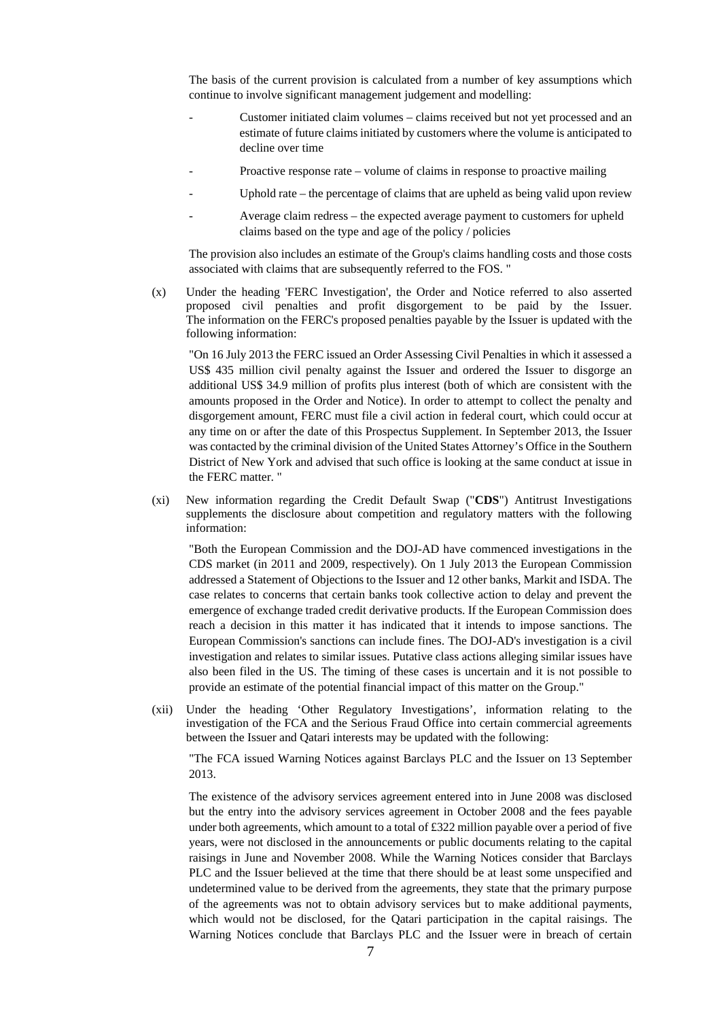The basis of the current provision is calculated from a number of key assumptions which continue to involve significant management judgement and modelling:

- Customer initiated claim volumes claims received but not yet processed and an estimate of future claims initiated by customers where the volume is anticipated to decline over time
- Proactive response rate volume of claims in response to proactive mailing
- Uphold rate the percentage of claims that are upheld as being valid upon review
- Average claim redress the expected average payment to customers for upheld claims based on the type and age of the policy / policies

The provision also includes an estimate of the Group's claims handling costs and those costs associated with claims that are subsequently referred to the FOS. "

(x) Under the heading 'FERC Investigation', the Order and Notice referred to also asserted proposed civil penalties and profit disgorgement to be paid by the Issuer. The information on the FERC's proposed penalties payable by the Issuer is updated with the following information:

"On 16 July 2013 the FERC issued an Order Assessing Civil Penalties in which it assessed a US\$ 435 million civil penalty against the Issuer and ordered the Issuer to disgorge an additional US\$ 34.9 million of profits plus interest (both of which are consistent with the amounts proposed in the Order and Notice). In order to attempt to collect the penalty and disgorgement amount, FERC must file a civil action in federal court, which could occur at any time on or after the date of this Prospectus Supplement. In September 2013, the Issuer was contacted by the criminal division of the United States Attorney's Office in the Southern District of New York and advised that such office is looking at the same conduct at issue in the FERC matter. "

(xi) New information regarding the Credit Default Swap ("**CDS**") Antitrust Investigations supplements the disclosure about competition and regulatory matters with the following information:

"Both the European Commission and the DOJ-AD have commenced investigations in the CDS market (in 2011 and 2009, respectively). On 1 July 2013 the European Commission addressed a Statement of Objections to the Issuer and 12 other banks, Markit and ISDA. The case relates to concerns that certain banks took collective action to delay and prevent the emergence of exchange traded credit derivative products. If the European Commission does reach a decision in this matter it has indicated that it intends to impose sanctions. The European Commission's sanctions can include fines. The DOJ-AD's investigation is a civil investigation and relates to similar issues. Putative class actions alleging similar issues have also been filed in the US. The timing of these cases is uncertain and it is not possible to provide an estimate of the potential financial impact of this matter on the Group."

(xii) Under the heading 'Other Regulatory Investigations', information relating to the investigation of the FCA and the Serious Fraud Office into certain commercial agreements between the Issuer and Qatari interests may be updated with the following:

"The FCA issued Warning Notices against Barclays PLC and the Issuer on 13 September 2013.

The existence of the advisory services agreement entered into in June 2008 was disclosed but the entry into the advisory services agreement in October 2008 and the fees payable under both agreements, which amount to a total of £322 million payable over a period of five years, were not disclosed in the announcements or public documents relating to the capital raisings in June and November 2008. While the Warning Notices consider that Barclays PLC and the Issuer believed at the time that there should be at least some unspecified and undetermined value to be derived from the agreements, they state that the primary purpose of the agreements was not to obtain advisory services but to make additional payments, which would not be disclosed, for the Qatari participation in the capital raisings. The Warning Notices conclude that Barclays PLC and the Issuer were in breach of certain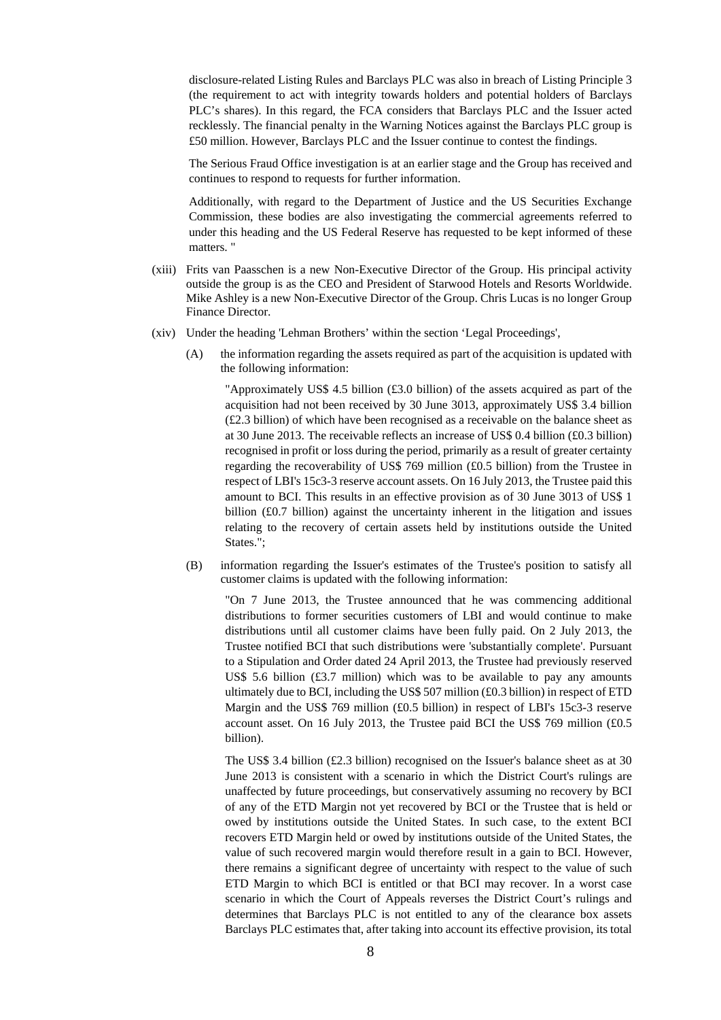disclosure-related Listing Rules and Barclays PLC was also in breach of Listing Principle 3 (the requirement to act with integrity towards holders and potential holders of Barclays PLC's shares). In this regard, the FCA considers that Barclays PLC and the Issuer acted recklessly. The financial penalty in the Warning Notices against the Barclays PLC group is £50 million. However, Barclays PLC and the Issuer continue to contest the findings.

The Serious Fraud Office investigation is at an earlier stage and the Group has received and continues to respond to requests for further information.

Additionally, with regard to the Department of Justice and the US Securities Exchange Commission, these bodies are also investigating the commercial agreements referred to under this heading and the US Federal Reserve has requested to be kept informed of these matters. "

- (xiii) Frits van Paasschen is a new Non-Executive Director of the Group. His principal activity outside the group is as the CEO and President of Starwood Hotels and Resorts Worldwide. Mike Ashley is a new Non-Executive Director of the Group. Chris Lucas is no longer Group Finance Director.
- (xiv) Under the heading 'Lehman Brothers' within the section 'Legal Proceedings',
	- (A) the information regarding the assets required as part of the acquisition is updated with the following information:

"Approximately US\$ 4.5 billion (£3.0 billion) of the assets acquired as part of the acquisition had not been received by 30 June 3013, approximately US\$ 3.4 billion (£2.3 billion) of which have been recognised as a receivable on the balance sheet as at 30 June 2013. The receivable reflects an increase of US\$ 0.4 billion (£0.3 billion) recognised in profit or loss during the period, primarily as a result of greater certainty regarding the recoverability of US\$ 769 million (£0.5 billion) from the Trustee in respect of LBI's 15c3-3 reserve account assets. On 16 July 2013, the Trustee paid this amount to BCI. This results in an effective provision as of 30 June 3013 of US\$ 1 billion (£0.7 billion) against the uncertainty inherent in the litigation and issues relating to the recovery of certain assets held by institutions outside the United States.";

(B) information regarding the Issuer's estimates of the Trustee's position to satisfy all customer claims is updated with the following information:

"On 7 June 2013, the Trustee announced that he was commencing additional distributions to former securities customers of LBI and would continue to make distributions until all customer claims have been fully paid. On 2 July 2013, the Trustee notified BCI that such distributions were 'substantially complete'. Pursuant to a Stipulation and Order dated 24 April 2013, the Trustee had previously reserved US\$ 5.6 billion  $(£3.7$  million) which was to be available to pay any amounts ultimately due to BCI, including the US\$ 507 million (£0.3 billion) in respect of ETD Margin and the US\$ 769 million (£0.5 billion) in respect of LBI's 15c3-3 reserve account asset. On 16 July 2013, the Trustee paid BCI the US\$ 769 million (£0.5 billion).

The US\$ 3.4 billion (£2.3 billion) recognised on the Issuer's balance sheet as at 30 June 2013 is consistent with a scenario in which the District Court's rulings are unaffected by future proceedings, but conservatively assuming no recovery by BCI of any of the ETD Margin not yet recovered by BCI or the Trustee that is held or owed by institutions outside the United States. In such case, to the extent BCI recovers ETD Margin held or owed by institutions outside of the United States, the value of such recovered margin would therefore result in a gain to BCI. However, there remains a significant degree of uncertainty with respect to the value of such ETD Margin to which BCI is entitled or that BCI may recover. In a worst case scenario in which the Court of Appeals reverses the District Court's rulings and determines that Barclays PLC is not entitled to any of the clearance box assets Barclays PLC estimates that, after taking into account its effective provision, its total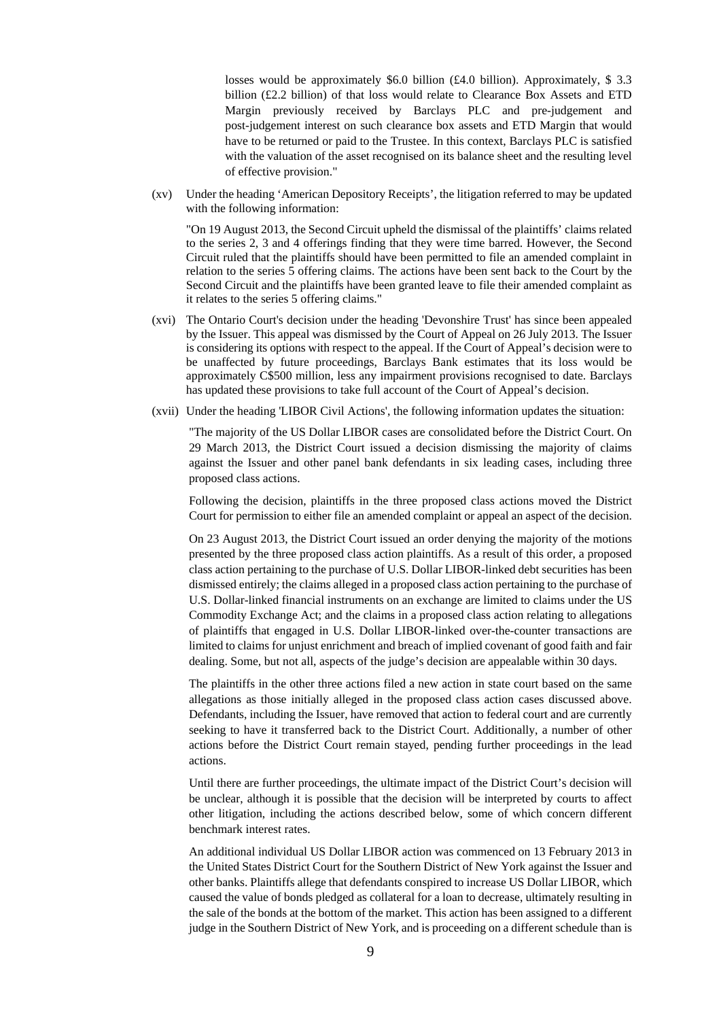losses would be approximately \$6.0 billion (£4.0 billion). Approximately, \$3.3 billion (£2.2 billion) of that loss would relate to Clearance Box Assets and ETD Margin previously received by Barclays PLC and pre-judgement and post-judgement interest on such clearance box assets and ETD Margin that would have to be returned or paid to the Trustee. In this context, Barclays PLC is satisfied with the valuation of the asset recognised on its balance sheet and the resulting level of effective provision."

(xv) Under the heading 'American Depository Receipts', the litigation referred to may be updated with the following information:

"On 19 August 2013, the Second Circuit upheld the dismissal of the plaintiffs' claims related to the series 2, 3 and 4 offerings finding that they were time barred. However, the Second Circuit ruled that the plaintiffs should have been permitted to file an amended complaint in relation to the series 5 offering claims. The actions have been sent back to the Court by the Second Circuit and the plaintiffs have been granted leave to file their amended complaint as it relates to the series 5 offering claims."

- (xvi) The Ontario Court's decision under the heading 'Devonshire Trust' has since been appealed by the Issuer. This appeal was dismissed by the Court of Appeal on 26 July 2013. The Issuer is considering its options with respect to the appeal. If the Court of Appeal's decision were to be unaffected by future proceedings, Barclays Bank estimates that its loss would be approximately C\$500 million, less any impairment provisions recognised to date. Barclays has updated these provisions to take full account of the Court of Appeal's decision.
- (xvii) Under the heading 'LIBOR Civil Actions', the following information updates the situation:

"The majority of the US Dollar LIBOR cases are consolidated before the District Court. On 29 March 2013, the District Court issued a decision dismissing the majority of claims against the Issuer and other panel bank defendants in six leading cases, including three proposed class actions.

Following the decision, plaintiffs in the three proposed class actions moved the District Court for permission to either file an amended complaint or appeal an aspect of the decision.

On 23 August 2013, the District Court issued an order denying the majority of the motions presented by the three proposed class action plaintiffs. As a result of this order, a proposed class action pertaining to the purchase of U.S. Dollar LIBOR-linked debt securities has been dismissed entirely; the claims alleged in a proposed class action pertaining to the purchase of U.S. Dollar-linked financial instruments on an exchange are limited to claims under the US Commodity Exchange Act; and the claims in a proposed class action relating to allegations of plaintiffs that engaged in U.S. Dollar LIBOR-linked over-the-counter transactions are limited to claims for unjust enrichment and breach of implied covenant of good faith and fair dealing. Some, but not all, aspects of the judge's decision are appealable within 30 days.

The plaintiffs in the other three actions filed a new action in state court based on the same allegations as those initially alleged in the proposed class action cases discussed above. Defendants, including the Issuer, have removed that action to federal court and are currently seeking to have it transferred back to the District Court. Additionally, a number of other actions before the District Court remain stayed, pending further proceedings in the lead actions.

Until there are further proceedings, the ultimate impact of the District Court's decision will be unclear, although it is possible that the decision will be interpreted by courts to affect other litigation, including the actions described below, some of which concern different benchmark interest rates.

An additional individual US Dollar LIBOR action was commenced on 13 February 2013 in the United States District Court for the Southern District of New York against the Issuer and other banks. Plaintiffs allege that defendants conspired to increase US Dollar LIBOR, which caused the value of bonds pledged as collateral for a loan to decrease, ultimately resulting in the sale of the bonds at the bottom of the market. This action has been assigned to a different judge in the Southern District of New York, and is proceeding on a different schedule than is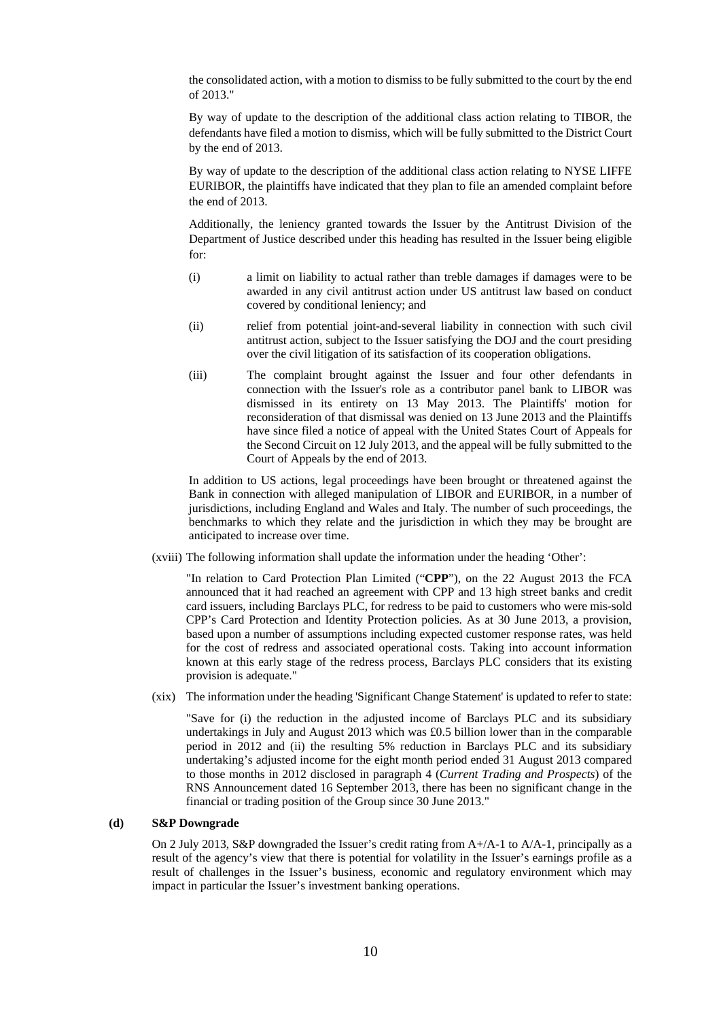the consolidated action, with a motion to dismiss to be fully submitted to the court by the end of 2013."

By way of update to the description of the additional class action relating to TIBOR, the defendants have filed a motion to dismiss, which will be fully submitted to the District Court by the end of 2013.

By way of update to the description of the additional class action relating to NYSE LIFFE EURIBOR, the plaintiffs have indicated that they plan to file an amended complaint before the end of 2013.

Additionally, the leniency granted towards the Issuer by the Antitrust Division of the Department of Justice described under this heading has resulted in the Issuer being eligible for:

- (i) a limit on liability to actual rather than treble damages if damages were to be awarded in any civil antitrust action under US antitrust law based on conduct covered by conditional leniency; and
- (ii) relief from potential joint-and-several liability in connection with such civil antitrust action, subject to the Issuer satisfying the DOJ and the court presiding over the civil litigation of its satisfaction of its cooperation obligations.
- (iii) The complaint brought against the Issuer and four other defendants in connection with the Issuer's role as a contributor panel bank to LIBOR was dismissed in its entirety on 13 May 2013. The Plaintiffs' motion for reconsideration of that dismissal was denied on 13 June 2013 and the Plaintiffs have since filed a notice of appeal with the United States Court of Appeals for the Second Circuit on 12 July 2013, and the appeal will be fully submitted to the Court of Appeals by the end of 2013.

In addition to US actions, legal proceedings have been brought or threatened against the Bank in connection with alleged manipulation of LIBOR and EURIBOR, in a number of jurisdictions, including England and Wales and Italy. The number of such proceedings, the benchmarks to which they relate and the jurisdiction in which they may be brought are anticipated to increase over time.

(xviii) The following information shall update the information under the heading 'Other':

"In relation to Card Protection Plan Limited ("**CPP**"), on the 22 August 2013 the FCA announced that it had reached an agreement with CPP and 13 high street banks and credit card issuers, including Barclays PLC, for redress to be paid to customers who were mis-sold CPP's Card Protection and Identity Protection policies. As at 30 June 2013, a provision, based upon a number of assumptions including expected customer response rates, was held for the cost of redress and associated operational costs. Taking into account information known at this early stage of the redress process, Barclays PLC considers that its existing provision is adequate."

(xix) The information under the heading 'Significant Change Statement' is updated to refer to state:

"Save for (i) the reduction in the adjusted income of Barclays PLC and its subsidiary undertakings in July and August 2013 which was £0.5 billion lower than in the comparable period in 2012 and (ii) the resulting 5% reduction in Barclays PLC and its subsidiary undertaking's adjusted income for the eight month period ended 31 August 2013 compared to those months in 2012 disclosed in paragraph 4 (*Current Trading and Prospects*) of the RNS Announcement dated 16 September 2013, there has been no significant change in the financial or trading position of the Group since 30 June 2013."

### **(d) S&P Downgrade**

On 2 July 2013, S&P downgraded the Issuer's credit rating from A+/A-1 to A/A-1, principally as a result of the agency's view that there is potential for volatility in the Issuer's earnings profile as a result of challenges in the Issuer's business, economic and regulatory environment which may impact in particular the Issuer's investment banking operations.